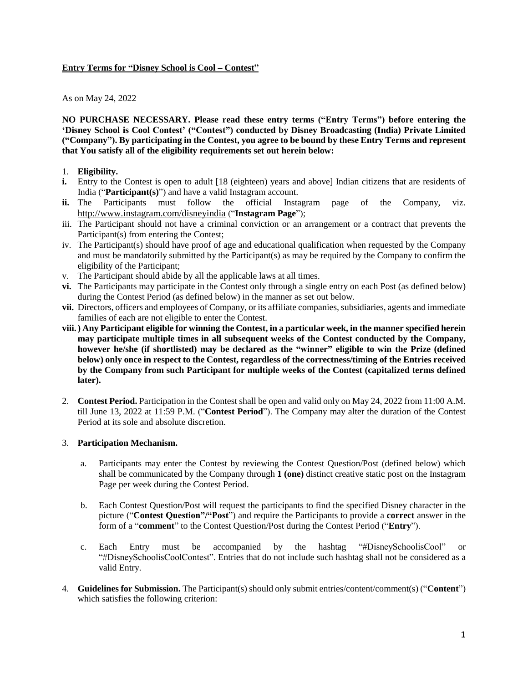## **Entry Terms for "Disney School is Cool – Contest"**

### As on May 24, 2022

**NO PURCHASE NECESSARY. Please read these entry terms ("Entry Terms") before entering the 'Disney School is Cool Contest' ("Contest") conducted by Disney Broadcasting (India) Private Limited ("Company"). By participating in the Contest, you agree to be bound by these Entry Terms and represent that You satisfy all of the eligibility requirements set out herein below:**

## 1. **Eligibility.**

- **i.** Entry to the Contest is open to adult [18 (eighteen) years and above] Indian citizens that are residents of India ("**Participant(s)**") and have a valid Instagram account.
- **ii.** The Participants must follow the official Instagram page of the Company, viz. <http://www.instagram.com/disneyindia> ("**Instagram Page**");
- iii. The Participant should not have a criminal conviction or an arrangement or a contract that prevents the Participant(s) from entering the Contest;
- iv. The Participant(s) should have proof of age and educational qualification when requested by the Company and must be mandatorily submitted by the Participant(s) as may be required by the Company to confirm the eligibility of the Participant;
- v. The Participant should abide by all the applicable laws at all times.
- **vi.** The Participants may participate in the Contest only through a single entry on each Post (as defined below) during the Contest Period (as defined below) in the manner as set out below.
- **vii.** Directors, officers and employees of Company, or its affiliate companies, subsidiaries, agents and immediate families of each are not eligible to enter the Contest.
- viii.) Any Participant eligible for winning the Contest, in a particular week, in the manner specified herein **may participate multiple times in all subsequent weeks of the Contest conducted by the Company, however he/she (if shortlisted) may be declared as the "winner" eligible to win the Prize (defined below) only once in respect to the Contest, regardless of the correctness/timing of the Entries received by the Company from such Participant for multiple weeks of the Contest (capitalized terms defined later).**
- 2. **Contest Period.** Participation in the Contest shall be open and valid only on May 24, 2022 from 11:00 A.M. till June 13, 2022 at 11:59 P.M. ("**Contest Period**"). The Company may alter the duration of the Contest Period at its sole and absolute discretion.

# 3. **Participation Mechanism.**

- a. Participants may enter the Contest by reviewing the Contest Question/Post (defined below) which shall be communicated by the Company through **1 (one)** distinct creative static post on the Instagram Page per week during the Contest Period.
- b. Each Contest Question/Post will request the participants to find the specified Disney character in the picture ("**Contest Question"/"Post**") and require the Participants to provide a **correct** answer in the form of a "**comment**" to the Contest Question/Post during the Contest Period ("**Entry**").
- c. Each Entry must be accompanied by the hashtag "#DisneySchoolisCool" or "#DisneySchoolisCoolContest". Entries that do not include such hashtag shall not be considered as a valid Entry.
- 4. **Guidelines for Submission.** The Participant(s) should only submit entries/content/comment(s) ("**Content**") which satisfies the following criterion: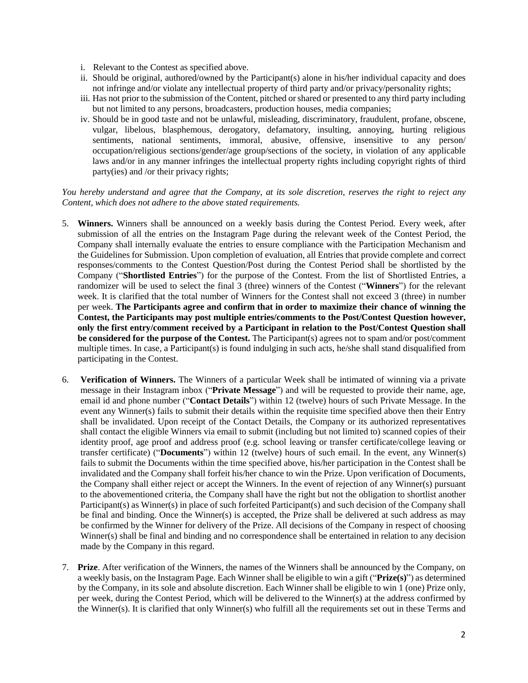- i. Relevant to the Contest as specified above.
- ii. Should be original, authored/owned by the Participant(s) alone in his/her individual capacity and does not infringe and/or violate any intellectual property of third party and/or privacy/personality rights;
- iii. Has not prior to the submission of the Content, pitched orshared or presented to any third party including but not limited to any persons, broadcasters, production houses, media companies;
- iv. Should be in good taste and not be unlawful, misleading, discriminatory, fraudulent, profane, obscene, vulgar, libelous, blasphemous, derogatory, defamatory, insulting, annoying, hurting religious sentiments, national sentiments, immoral, abusive, offensive, insensitive to any person/ occupation/religious sections/gender/age group/sections of the society, in violation of any applicable laws and/or in any manner infringes the intellectual property rights including copyright rights of third party(ies) and /or their privacy rights;

### You hereby understand and agree that the Company, at its sole discretion, reserves the right to reject any *Content, which does not adhere to the above stated requirements.*

- 5. **Winners.** Winners shall be announced on a weekly basis during the Contest Period. Every week, after submission of all the entries on the Instagram Page during the relevant week of the Contest Period, the Company shall internally evaluate the entries to ensure compliance with the Participation Mechanism and the Guidelines for Submission. Upon completion of evaluation, all Entries that provide complete and correct responses/comments to the Contest Question/Post during the Contest Period shall be shortlisted by the Company ("**Shortlisted Entries**") for the purpose of the Contest. From the list of Shortlisted Entries, a randomizer will be used to select the final 3 (three) winners of the Contest ("**Winners**") for the relevant week. It is clarified that the total number of Winners for the Contest shall not exceed 3 (three) in number per week. **The Participants agree and confirm that in order to maximize their chance of winning the Contest, the Participants may post multiple entries/comments to the Post/Contest Question however, only the first entry/comment received by a Participant in relation to the Post/Contest Question shall be considered for the purpose of the Contest.** The Participant(s) agrees not to spam and/or post/comment multiple times. In case, a Participant(s) is found indulging in such acts, he/she shall stand disqualified from participating in the Contest.
- 6. **Verification of Winners.** The Winners of a particular Week shall be intimated of winning via a private message in their Instagram inbox ("**Private Message**") and will be requested to provide their name, age, email id and phone number ("**Contact Details**") within 12 (twelve) hours of such Private Message. In the event any Winner(s) fails to submit their details within the requisite time specified above then their Entry shall be invalidated. Upon receipt of the Contact Details, the Company or its authorized representatives shall contact the eligible Winners via email to submit (including but not limited to) scanned copies of their identity proof, age proof and address proof (e.g. school leaving or transfer certificate/college leaving or transfer certificate) ("**Documents**") within 12 (twelve) hours of such email. In the event, any Winner(s) fails to submit the Documents within the time specified above, his/her participation in the Contest shall be invalidated and the Company shall forfeit his/her chance to win the Prize. Upon verification of Documents, the Company shall either reject or accept the Winners. In the event of rejection of any Winner(s) pursuant to the abovementioned criteria, the Company shall have the right but not the obligation to shortlist another Participant(s) as Winner(s) in place of such forfeited Participant(s) and such decision of the Company shall be final and binding. Once the Winner(s) is accepted, the Prize shall be delivered at such address as may be confirmed by the Winner for delivery of the Prize. All decisions of the Company in respect of choosing Winner(s) shall be final and binding and no correspondence shall be entertained in relation to any decision made by the Company in this regard.
- 7. **Prize**. After verification of the Winners, the names of the Winners shall be announced by the Company, on a weekly basis, on the Instagram Page. Each Winner shall be eligible to win a gift ("**Prize(s)**") as determined by the Company, in its sole and absolute discretion. Each Winner shall be eligible to win 1 (one) Prize only, per week, during the Contest Period, which will be delivered to the Winner(s) at the address confirmed by the Winner(s). It is clarified that only Winner(s) who fulfill all the requirements set out in these Terms and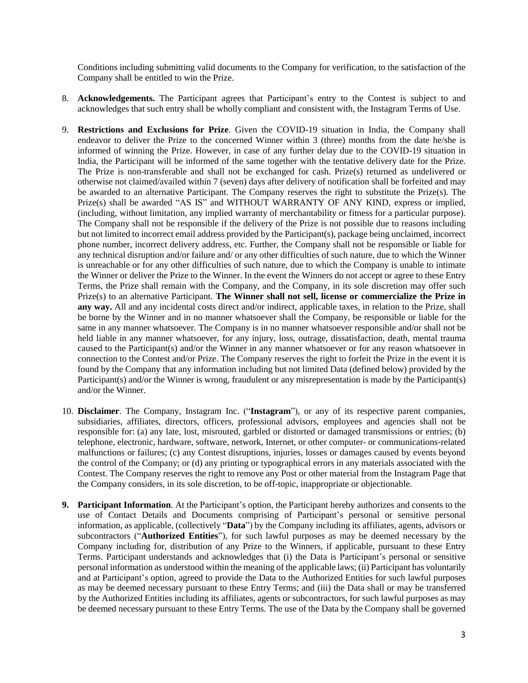Conditions including submitting valid documents to the Company for verification, to the satisfaction of the Company shall be entitled to win the Prize.

- 8. **Acknowledgements.** The Participant agrees that Participant's entry to the Contest is subject to and acknowledges that such entry shall be wholly compliant and consistent with, the Instagram Terms of Use.
- 9. **Restrictions and Exclusions for Prize**. Given the COVID-19 situation in India, the Company shall endeavor to deliver the Prize to the concerned Winner within 3 (three) months from the date he/she is informed of winning the Prize. However, in case of any further delay due to the COVID-19 situation in India, the Participant will be informed of the same together with the tentative delivery date for the Prize. The Prize is non-transferable and shall not be exchanged for cash. Prize(s) returned as undelivered or otherwise not claimed/availed within 7 (seven) days after delivery of notification shall be forfeited and may be awarded to an alternative Participant. The Company reserves the right to substitute the Prize(s). The Prize(s) shall be awarded "AS IS" and WITHOUT WARRANTY OF ANY KIND, express or implied, (including, without limitation, any implied warranty of merchantability or fitness for a particular purpose). The Company shall not be responsible if the delivery of the Prize is not possible due to reasons including but not limited to incorrect email address provided by the Participant(s), package being unclaimed, incorrect phone number, incorrect delivery address, etc. Further, the Company shall not be responsible or liable for any technical disruption and/or failure and/ or any other difficulties of such nature, due to which the Winner is unreachable or for any other difficulties of such nature, due to which the Company is unable to intimate the Winner or deliver the Prize to the Winner. In the event the Winners do not accept or agree to these Entry Terms, the Prize shall remain with the Company, and the Company, in its sole discretion may offer such Prize(s) to an alternative Participant. **The Winner shall not sell, license or commercialize the Prize in any way.** All and any incidental costs direct and/or indirect, applicable taxes, in relation to the Prize, shall be borne by the Winner and in no manner whatsoever shall the Company, be responsible or liable for the same in any manner whatsoever. The Company is in no manner whatsoever responsible and/or shall not be held liable in any manner whatsoever, for any injury, loss, outrage, dissatisfaction, death, mental trauma caused to the Participant(s) and/or the Winner in any manner whatsoever or for any reason whatsoever in connection to the Contest and/or Prize. The Company reserves the right to forfeit the Prize in the event it is found by the Company that any information including but not limited Data (defined below) provided by the Participant(s) and/or the Winner is wrong, fraudulent or any misrepresentation is made by the Participant(s) and/or the Winner.
- 10. **Disclaimer**. The Company, Instagram Inc. ("**Instagram**"), or any of its respective parent companies, subsidiaries, affiliates, directors, officers, professional advisors, employees and agencies shall not be responsible for: (a) any late, lost, misrouted, garbled or distorted or damaged transmissions or entries; (b) telephone, electronic, hardware, software, network, Internet, or other computer- or communications-related malfunctions or failures; (c) any Contest disruptions, injuries, losses or damages caused by events beyond the control of the Company; or (d) any printing or typographical errors in any materials associated with the Contest. The Company reserves the right to remove any Post or other material from the Instagram Page that the Company considers, in its sole discretion, to be off-topic, inappropriate or objectionable.
- **9. Participant Information**. At the Participant's option, the Participant hereby authorizes and consents to the use of Contact Details and Documents comprising of Participant's personal or sensitive personal information, as applicable, (collectively "**Data**") by the Company including its affiliates, agents, advisors or subcontractors ("**Authorized Entities**"), for such lawful purposes as may be deemed necessary by the Company including for, distribution of any Prize to the Winners, if applicable, pursuant to these Entry Terms. Participant understands and acknowledges that (i) the Data is Participant's personal or sensitive personal information as understood within the meaning of the applicable laws; (ii) Participant has voluntarily and at Participant's option, agreed to provide the Data to the Authorized Entities for such lawful purposes as may be deemed necessary pursuant to these Entry Terms; and (iii) the Data shall or may be transferred by the Authorized Entities including its affiliates, agents or subcontractors, for such lawful purposes as may be deemed necessary pursuant to these Entry Terms. The use of the Data by the Company shall be governed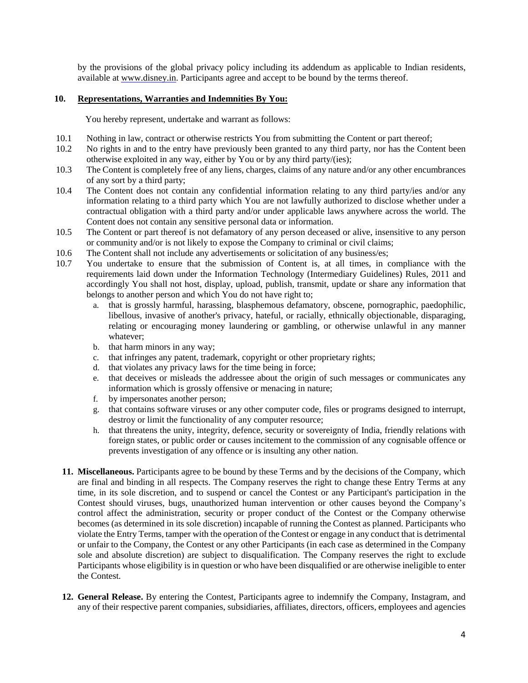by the provisions of the global privacy policy including its addendum as applicable to Indian residents, available at [www.disney.in.](http://www.disney.in/) Participants agree and accept to be bound by the terms thereof.

## **10. Representations, Warranties and Indemnities By You:**

You hereby represent, undertake and warrant as follows:

- 10.1 Nothing in law, contract or otherwise restricts You from submitting the Content or part thereof;
- 10.2 No rights in and to the entry have previously been granted to any third party, nor has the Content been otherwise exploited in any way, either by You or by any third party/(ies);
- 10.3 The Content is completely free of any liens, charges, claims of any nature and/or any other encumbrances of any sort by a third party;
- 10.4 The Content does not contain any confidential information relating to any third party/ies and/or any information relating to a third party which You are not lawfully authorized to disclose whether under a contractual obligation with a third party and/or under applicable laws anywhere across the world. The Content does not contain any sensitive personal data or information.
- 10.5 The Content or part thereof is not defamatory of any person deceased or alive, insensitive to any person or community and/or is not likely to expose the Company to criminal or civil claims;
- 10.6 The Content shall not include any advertisements or solicitation of any business/es;
- 10.7 You undertake to ensure that the submission of Content is, at all times, in compliance with the requirements laid down under the Information Technology (Intermediary Guidelines) Rules, 2011 and accordingly You shall not host, display, upload, publish, transmit, update or share any information that belongs to another person and which You do not have right to;
	- a. that is grossly harmful, harassing, blasphemous defamatory, obscene, pornographic, paedophilic, libellous, invasive of another's privacy, hateful, or racially, ethnically objectionable, disparaging, relating or encouraging money laundering or gambling, or otherwise unlawful in any manner whatever;
	- b. that harm minors in any way;
	- c. that infringes any patent, trademark, copyright or other proprietary rights;
	- d. that violates any privacy laws for the time being in force;
	- e. that deceives or misleads the addressee about the origin of such messages or communicates any information which is grossly offensive or menacing in nature;
	- f. by impersonates another person;
	- g. that contains software viruses or any other computer code, files or programs designed to interrupt, destroy or limit the functionality of any computer resource;
	- h. that threatens the unity, integrity, defence, security or sovereignty of India, friendly relations with foreign states, or public order or causes incitement to the commission of any cognisable offence or prevents investigation of any offence or is insulting any other nation.
- **11. Miscellaneous.** Participants agree to be bound by these Terms and by the decisions of the Company, which are final and binding in all respects. The Company reserves the right to change these Entry Terms at any time, in its sole discretion, and to suspend or cancel the Contest or any Participant's participation in the Contest should viruses, bugs, unauthorized human intervention or other causes beyond the Company's control affect the administration, security or proper conduct of the Contest or the Company otherwise becomes (as determined in its sole discretion) incapable of running the Contest as planned. Participants who violate the Entry Terms, tamper with the operation of the Contest or engage in any conduct that is detrimental or unfair to the Company, the Contest or any other Participants (in each case as determined in the Company sole and absolute discretion) are subject to disqualification. The Company reserves the right to exclude Participants whose eligibility is in question or who have been disqualified or are otherwise ineligible to enter the Contest.
- **12. General Release.** By entering the Contest, Participants agree to indemnify the Company, Instagram, and any of their respective parent companies, subsidiaries, affiliates, directors, officers, employees and agencies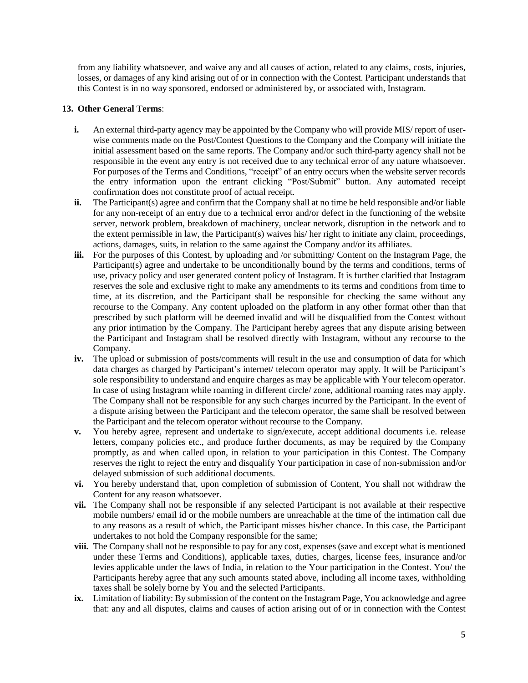from any liability whatsoever, and waive any and all causes of action, related to any claims, costs, injuries, losses, or damages of any kind arising out of or in connection with the Contest. Participant understands that this Contest is in no way sponsored, endorsed or administered by, or associated with, Instagram.

## **13. Other General Terms**:

- **i.** An external third-party agency may be appointed by the Company who will provide MIS/ report of userwise comments made on the Post/Contest Questions to the Company and the Company will initiate the initial assessment based on the same reports. The Company and/or such third-party agency shall not be responsible in the event any entry is not received due to any technical error of any nature whatsoever. For purposes of the Terms and Conditions, "receipt" of an entry occurs when the website server records the entry information upon the entrant clicking "Post/Submit" button. Any automated receipt confirmation does not constitute proof of actual receipt.
- **ii.** The Participant(s) agree and confirm that the Company shall at no time be held responsible and/or liable for any non-receipt of an entry due to a technical error and/or defect in the functioning of the website server, network problem, breakdown of machinery, unclear network, disruption in the network and to the extent permissible in law, the Participant(s) waives his/ her right to initiate any claim, proceedings, actions, damages, suits, in relation to the same against the Company and/or its affiliates.
- **iii.** For the purposes of this Contest, by uploading and /or submitting/ Content on the Instagram Page, the Participant(s) agree and undertake to be unconditionally bound by the terms and conditions, terms of use, privacy policy and user generated content policy of Instagram. It is further clarified that Instagram reserves the sole and exclusive right to make any amendments to its terms and conditions from time to time, at its discretion, and the Participant shall be responsible for checking the same without any recourse to the Company. Any content uploaded on the platform in any other format other than that prescribed by such platform will be deemed invalid and will be disqualified from the Contest without any prior intimation by the Company. The Participant hereby agrees that any dispute arising between the Participant and Instagram shall be resolved directly with Instagram, without any recourse to the Company.
- **iv.** The upload or submission of posts/comments will result in the use and consumption of data for which data charges as charged by Participant's internet/ telecom operator may apply. It will be Participant's sole responsibility to understand and enquire charges as may be applicable with Your telecom operator. In case of using Instagram while roaming in different circle/ zone, additional roaming rates may apply. The Company shall not be responsible for any such charges incurred by the Participant. In the event of a dispute arising between the Participant and the telecom operator, the same shall be resolved between the Participant and the telecom operator without recourse to the Company.
- **v.** You hereby agree, represent and undertake to sign/execute, accept additional documents i.e. release letters, company policies etc., and produce further documents, as may be required by the Company promptly, as and when called upon, in relation to your participation in this Contest. The Company reserves the right to reject the entry and disqualify Your participation in case of non-submission and/or delayed submission of such additional documents.
- **vi.** You hereby understand that, upon completion of submission of Content, You shall not withdraw the Content for any reason whatsoever.
- **vii.** The Company shall not be responsible if any selected Participant is not available at their respective mobile numbers/ email id or the mobile numbers are unreachable at the time of the intimation call due to any reasons as a result of which, the Participant misses his/her chance. In this case, the Participant undertakes to not hold the Company responsible for the same;
- **viii.** The Company shall not be responsible to pay for any cost, expenses (save and except what is mentioned under these Terms and Conditions), applicable taxes, duties, charges, license fees, insurance and/or levies applicable under the laws of India, in relation to the Your participation in the Contest. You/ the Participants hereby agree that any such amounts stated above, including all income taxes, withholding taxes shall be solely borne by You and the selected Participants.
- **ix.** Limitation of liability: By submission of the content on the Instagram Page, You acknowledge and agree that: any and all disputes, claims and causes of action arising out of or in connection with the Contest